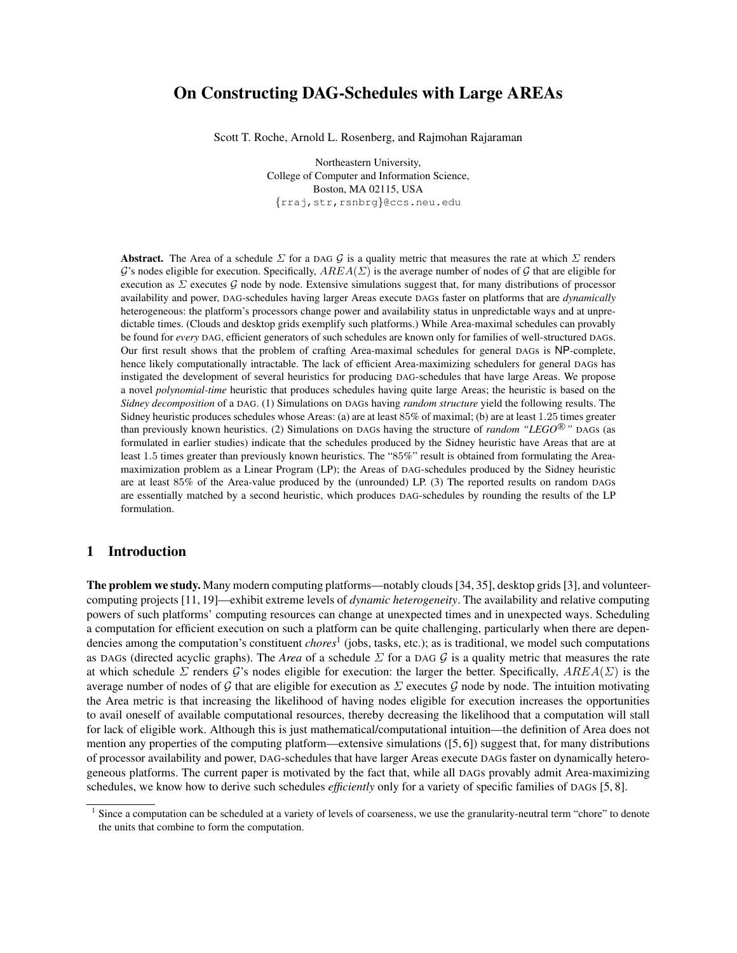# On Constructing DAG-Schedules with Large AREAs

Scott T. Roche, Arnold L. Rosenberg, and Rajmohan Rajaraman

Northeastern University, College of Computer and Information Science, Boston, MA 02115, USA {rraj,str,rsnbrg}@ccs.neu.edu

Abstract. The Area of a schedule  $\Sigma$  for a DAG G is a quality metric that measures the rate at which  $\Sigma$  renders G's nodes eligible for execution. Specifically,  $AREA(\Sigma)$  is the average number of nodes of G that are eligible for execution as  $\Sigma$  executes  $\mathcal G$  node by node. Extensive simulations suggest that, for many distributions of processor availability and power, DAG-schedules having larger Areas execute DAGs faster on platforms that are *dynamically* heterogeneous: the platform's processors change power and availability status in unpredictable ways and at unpredictable times. (Clouds and desktop grids exemplify such platforms.) While Area-maximal schedules can provably be found for *every* DAG, efficient generators of such schedules are known only for families of well-structured DAGs. Our first result shows that the problem of crafting Area-maximal schedules for general DAGs is NP-complete, hence likely computationally intractable. The lack of efficient Area-maximizing schedulers for general DAGs has instigated the development of several heuristics for producing DAG-schedules that have large Areas. We propose a novel *polynomial-time* heuristic that produces schedules having quite large Areas; the heuristic is based on the *Sidney decomposition* of a DAG. (1) Simulations on DAGs having *random structure* yield the following results. The Sidney heuristic produces schedules whose Areas: (a) are at least 85% of maximal; (b) are at least 1.25 times greater than previously known heuristics. (2) Simulations on DAGs having the structure of *random* "LEGO<sup>®</sup>" DAGs (as formulated in earlier studies) indicate that the schedules produced by the Sidney heuristic have Areas that are at least 1.5 times greater than previously known heuristics. The "85%" result is obtained from formulating the Areamaximization problem as a Linear Program (LP); the Areas of DAG-schedules produced by the Sidney heuristic are at least 85% of the Area-value produced by the (unrounded) LP. (3) The reported results on random DAGs are essentially matched by a second heuristic, which produces DAG-schedules by rounding the results of the LP formulation.

## 1 Introduction

The problem we study. Many modern computing platforms—notably clouds [34, 35], desktop grids [3], and volunteercomputing projects [11, 19]—exhibit extreme levels of *dynamic heterogeneity*. The availability and relative computing powers of such platforms' computing resources can change at unexpected times and in unexpected ways. Scheduling a computation for efficient execution on such a platform can be quite challenging, particularly when there are dependencies among the computation's constituent *chores*<sup>1</sup> (jobs, tasks, etc.); as is traditional, we model such computations as DAGs (directed acyclic graphs). The *Area* of a schedule  $\Sigma$  for a DAG  $\mathcal G$  is a quality metric that measures the rate at which schedule  $\Sigma$  renders  $\mathcal{G}'$ s nodes eligible for execution: the larger the better. Specifically,  $AREA(\Sigma)$  is the average number of nodes of G that are eligible for execution as  $\Sigma$  executes G node by node. The intuition motivating the Area metric is that increasing the likelihood of having nodes eligible for execution increases the opportunities to avail oneself of available computational resources, thereby decreasing the likelihood that a computation will stall for lack of eligible work. Although this is just mathematical/computational intuition—the definition of Area does not mention any properties of the computing platform—extensive simulations ([5, 6]) suggest that, for many distributions of processor availability and power, DAG-schedules that have larger Areas execute DAGs faster on dynamically heterogeneous platforms. The current paper is motivated by the fact that, while all DAGs provably admit Area-maximizing schedules, we know how to derive such schedules *efficiently* only for a variety of specific families of DAGs [5, 8].

<sup>&</sup>lt;sup>1</sup> Since a computation can be scheduled at a variety of levels of coarseness, we use the granularity-neutral term "chore" to denote the units that combine to form the computation.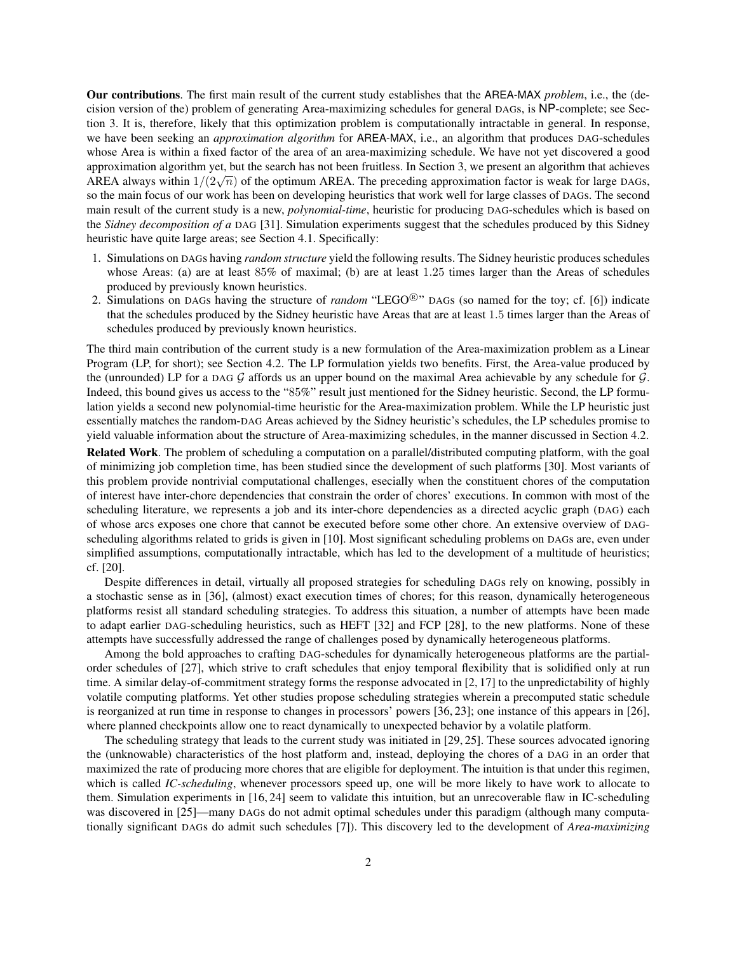Our contributions. The first main result of the current study establishes that the AREA-MAX *problem*, i.e., the (decision version of the) problem of generating Area-maximizing schedules for general DAGs, is NP-complete; see Section 3. It is, therefore, likely that this optimization problem is computationally intractable in general. In response, we have been seeking an *approximation algorithm* for AREA-MAX, i.e., an algorithm that produces DAG-schedules whose Area is within a fixed factor of the area of an area-maximizing schedule. We have not yet discovered a good approximation algorithm yet, but the search has not been fruitless. In Section 3, we present an algorithm that achieves approximation argorium yet, but the search has not been fruitiess. In section 5, we present an argorium that achieves  $AREA$  always within  $1/(2\sqrt{n})$  of the optimum AREA. The preceding approximation factor is weak for large so the main focus of our work has been on developing heuristics that work well for large classes of DAGs. The second main result of the current study is a new, *polynomial-time*, heuristic for producing DAG-schedules which is based on the *Sidney decomposition of a* DAG [31]. Simulation experiments suggest that the schedules produced by this Sidney heuristic have quite large areas; see Section 4.1. Specifically:

- 1. Simulations on DAGs having *random structure* yield the following results. The Sidney heuristic produces schedules whose Areas: (a) are at least 85% of maximal; (b) are at least 1.25 times larger than the Areas of schedules produced by previously known heuristics.
- 2. Simulations on DAGs having the structure of *random* "LEGO<sup>®</sup>" DAGs (so named for the toy; cf. [6]) indicate that the schedules produced by the Sidney heuristic have Areas that are at least 1.5 times larger than the Areas of schedules produced by previously known heuristics.

The third main contribution of the current study is a new formulation of the Area-maximization problem as a Linear Program (LP, for short); see Section 4.2. The LP formulation yields two benefits. First, the Area-value produced by the (unrounded) LP for a DAG  $G$  affords us an upper bound on the maximal Area achievable by any schedule for  $G$ . Indeed, this bound gives us access to the "85%" result just mentioned for the Sidney heuristic. Second, the LP formulation yields a second new polynomial-time heuristic for the Area-maximization problem. While the LP heuristic just essentially matches the random-DAG Areas achieved by the Sidney heuristic's schedules, the LP schedules promise to yield valuable information about the structure of Area-maximizing schedules, in the manner discussed in Section 4.2.

Related Work. The problem of scheduling a computation on a parallel/distributed computing platform, with the goal of minimizing job completion time, has been studied since the development of such platforms [30]. Most variants of this problem provide nontrivial computational challenges, esecially when the constituent chores of the computation of interest have inter-chore dependencies that constrain the order of chores' executions. In common with most of the scheduling literature, we represents a job and its inter-chore dependencies as a directed acyclic graph (DAG) each of whose arcs exposes one chore that cannot be executed before some other chore. An extensive overview of DAGscheduling algorithms related to grids is given in [10]. Most significant scheduling problems on DAGs are, even under simplified assumptions, computationally intractable, which has led to the development of a multitude of heuristics; cf. [20].

Despite differences in detail, virtually all proposed strategies for scheduling DAGs rely on knowing, possibly in a stochastic sense as in [36], (almost) exact execution times of chores; for this reason, dynamically heterogeneous platforms resist all standard scheduling strategies. To address this situation, a number of attempts have been made to adapt earlier DAG-scheduling heuristics, such as HEFT [32] and FCP [28], to the new platforms. None of these attempts have successfully addressed the range of challenges posed by dynamically heterogeneous platforms.

Among the bold approaches to crafting DAG-schedules for dynamically heterogeneous platforms are the partialorder schedules of [27], which strive to craft schedules that enjoy temporal flexibility that is solidified only at run time. A similar delay-of-commitment strategy forms the response advocated in [2, 17] to the unpredictability of highly volatile computing platforms. Yet other studies propose scheduling strategies wherein a precomputed static schedule is reorganized at run time in response to changes in processors' powers [36, 23]; one instance of this appears in [26], where planned checkpoints allow one to react dynamically to unexpected behavior by a volatile platform.

The scheduling strategy that leads to the current study was initiated in [29, 25]. These sources advocated ignoring the (unknowable) characteristics of the host platform and, instead, deploying the chores of a DAG in an order that maximized the rate of producing more chores that are eligible for deployment. The intuition is that under this regimen, which is called *IC-scheduling*, whenever processors speed up, one will be more likely to have work to allocate to them. Simulation experiments in [16, 24] seem to validate this intuition, but an unrecoverable flaw in IC-scheduling was discovered in [25]—many DAGs do not admit optimal schedules under this paradigm (although many computationally significant DAGs do admit such schedules [7]). This discovery led to the development of *Area-maximizing*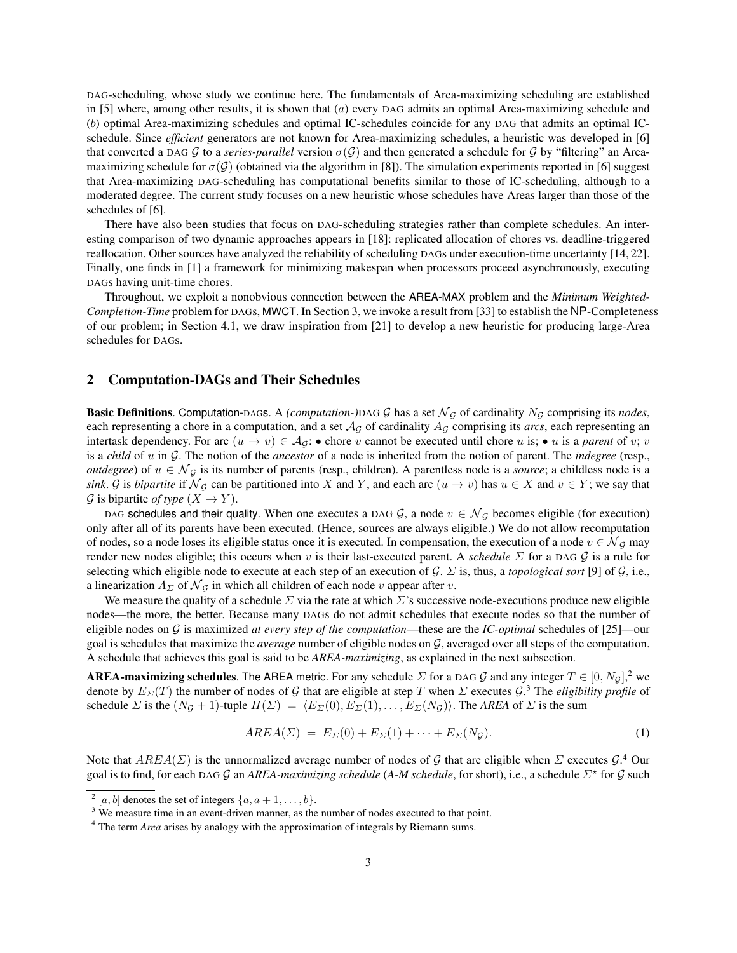DAG-scheduling, whose study we continue here. The fundamentals of Area-maximizing scheduling are established in [5] where, among other results, it is shown that (a) every DAG admits an optimal Area-maximizing schedule and (b) optimal Area-maximizing schedules and optimal IC-schedules coincide for any DAG that admits an optimal ICschedule. Since *efficient* generators are not known for Area-maximizing schedules, a heuristic was developed in [6] that converted a DAG G to a *series-parallel* version  $\sigma(G)$  and then generated a schedule for G by "filtering" an Areamaximizing schedule for  $\sigma(G)$  (obtained via the algorithm in [8]). The simulation experiments reported in [6] suggest that Area-maximizing DAG-scheduling has computational benefits similar to those of IC-scheduling, although to a moderated degree. The current study focuses on a new heuristic whose schedules have Areas larger than those of the schedules of [6].

There have also been studies that focus on DAG-scheduling strategies rather than complete schedules. An interesting comparison of two dynamic approaches appears in [18]: replicated allocation of chores vs. deadline-triggered reallocation. Other sources have analyzed the reliability of scheduling DAGs under execution-time uncertainty [14, 22]. Finally, one finds in [1] a framework for minimizing makespan when processors proceed asynchronously, executing DAGs having unit-time chores.

Throughout, we exploit a nonobvious connection between the AREA-MAX problem and the *Minimum Weighted-Completion-Time* problem for DAGs, MWCT. In Section 3, we invoke a result from [33] to establish the NP-Completeness of our problem; in Section 4.1, we draw inspiration from [21] to develop a new heuristic for producing large-Area schedules for DAGs.

## 2 Computation-DAGs and Their Schedules

Basic Definitions. Computation-DAGs. A *(computation-)DAG G* has a set  $\mathcal{N}_{\mathcal{G}}$  of cardinality  $N_{\mathcal{G}}$  comprising its *nodes*, each representing a chore in a computation, and a set  $A<sub>G</sub>$  of cardinality  $A<sub>G</sub>$  comprising its *arcs*, each representing an intertask dependency. For arc  $(u \to v) \in \mathcal{A}_{\mathcal{G}}$ : • chore v cannot be executed until chore u is; • u is a *parent* of v; v is a *child* of u in G. The notion of the *ancestor* of a node is inherited from the notion of parent. The *indegree* (resp., *outdegree*) of  $u \in \mathcal{N}_{\mathcal{G}}$  is its number of parents (resp., children). A parentless node is a *source*; a childless node is a *sink*. G is *bipartite* if  $\mathcal{N}_G$  can be partitioned into X and Y, and each arc  $(u \to v)$  has  $u \in X$  and  $v \in Y$ ; we say that G is bipartite *of type*  $(X \rightarrow Y)$ .

DAG schedules and their quality. When one executes a DAG G, a node  $v \in \mathcal{N}_G$  becomes eligible (for execution) only after all of its parents have been executed. (Hence, sources are always eligible.) We do not allow recomputation of nodes, so a node loses its eligible status once it is executed. In compensation, the execution of a node  $v \in \mathcal{N}_G$  may render new nodes eligible; this occurs when v is their last-executed parent. A *schedule* Σ for a DAG G is a rule for selecting which eligible node to execute at each step of an execution of G. Σ is, thus, a *topological sort* [9] of G, i.e., a linearization  $\Lambda_{\Sigma}$  of  $\mathcal{N}_{G}$  in which all children of each node v appear after v.

We measure the quality of a schedule  $\Sigma$  via the rate at which  $\Sigma$ 's successive node-executions produce new eligible nodes—the more, the better. Because many DAGs do not admit schedules that execute nodes so that the number of eligible nodes on G is maximized *at every step of the computation*—these are the *IC-optimal* schedules of [25]—our goal is schedules that maximize the *average* number of eligible nodes on G, averaged over all steps of the computation. A schedule that achieves this goal is said to be *AREA-maximizing*, as explained in the next subsection.

AREA-maximizing schedules. The AREA metric. For any schedule  $\Sigma$  for a DAG  $G$  and any integer  $T \in [0, N_G],^2$  we denote by  $E_{\Sigma}(T)$  the number of nodes of G that are eligible at step T when  $\Sigma$  executes  $\mathcal{G}.$ <sup>3</sup> The *eligibility profile* of schedule  $\Sigma$  is the  $(N_g + 1)$ -tuple  $\Pi(\Sigma) = \langle E_\Sigma(0), E_\Sigma(1), \ldots, E_\Sigma(N_g) \rangle$ . The *AREA* of  $\Sigma$  is the sum

$$
AREA(\Sigma) = E_{\Sigma}(0) + E_{\Sigma}(1) + \dots + E_{\Sigma}(N_{\mathcal{G}}).
$$
\n<sup>(1)</sup>

Note that  $AREA(\Sigma)$  is the unnormalized average number of nodes of G that are eligible when  $\Sigma$  executes  $\mathcal{G}.^4$  Our goal is to find, for each DAG G an *AREA-maximizing schedule* (A-*M schedule*, for short), i.e., a schedule Σ<sup>\*</sup> for G such

 $2[a, b]$  denotes the set of integers  $\{a, a+1, \ldots, b\}.$ 

<sup>&</sup>lt;sup>3</sup> We measure time in an event-driven manner, as the number of nodes executed to that point.

<sup>&</sup>lt;sup>4</sup> The term *Area* arises by analogy with the approximation of integrals by Riemann sums.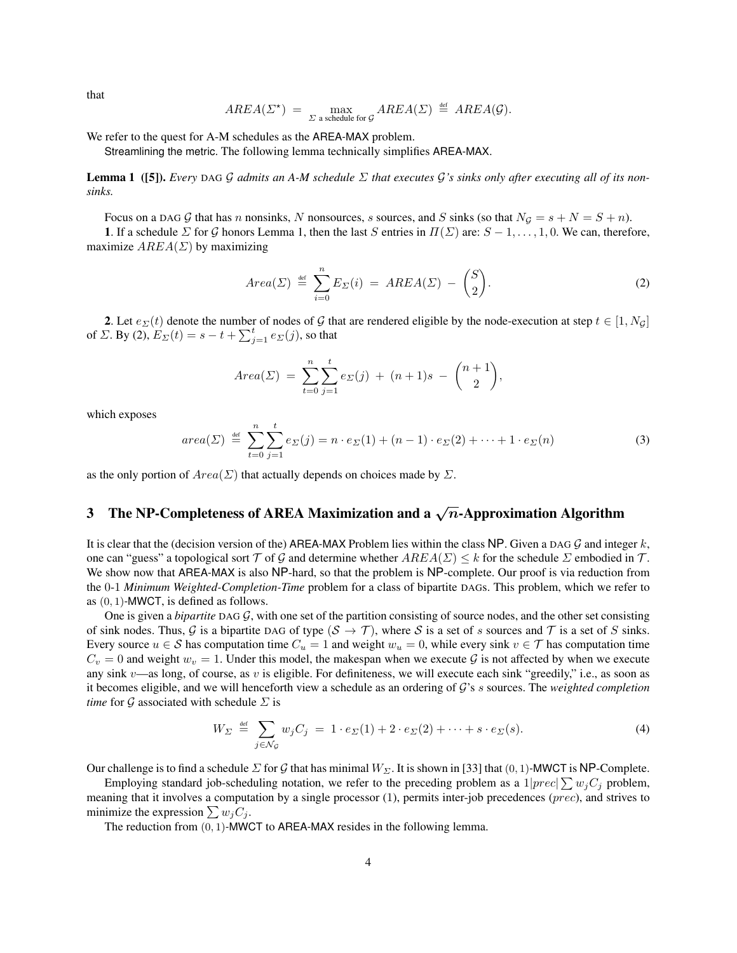that

$$
AREA(\Sigma^*) = \max_{\Sigma \text{ a schedule for } \mathcal{G}} AREA(\Sigma) \stackrel{\text{def}}{=} AREA(\mathcal{G}).
$$

We refer to the quest for A-M schedules as the AREA-MAX problem.

Streamlining the metric. The following lemma technically simplifies AREA-MAX.

Lemma 1 ([5]). *Every* DAG G *admits an A-M schedule* Σ *that executes* G*'s sinks only after executing all of its nonsinks.*

Focus on a DAG G that has n nonsinks, N nonsources, s sources, and S sinks (so that  $N_g = s + N = S + n$ ).

1. If a schedule  $\Sigma$  for G honors Lemma 1, then the last S entries in  $\Pi(\Sigma)$  are:  $S-1,\ldots,1,0$ . We can, therefore, maximize  $AREA(\Sigma)$  by maximizing

$$
Area(\Sigma) \stackrel{\text{def}}{=} \sum_{i=0}^{n} E_{\Sigma}(i) = AREA(\Sigma) - \binom{S}{2}.
$$
 (2)

2. Let  $e_{\Sigma}(t)$  denote the number of nodes of G that are rendered eligible by the node-execution at step  $t \in [1, N_g]$ of *Σ*. By (2),  $E_{\Sigma}(t) = s - t + \sum_{j=1}^{t} e_{\Sigma}(j)$ , so that

$$
Area(\Sigma) = \sum_{t=0}^{n} \sum_{j=1}^{t} e_{\Sigma}(j) + (n+1)s - {n+1 \choose 2},
$$

which exposes

$$
area(\Sigma) \stackrel{\text{def}}{=} \sum_{t=0}^{n} \sum_{j=1}^{t} e_{\Sigma}(j) = n \cdot e_{\Sigma}(1) + (n-1) \cdot e_{\Sigma}(2) + \dots + 1 \cdot e_{\Sigma}(n) \tag{3}
$$

as the only portion of  $Area(\Sigma)$  that actually depends on choices made by  $\Sigma$ .

# 3 The NP-Completeness of AREA Maximization and a  $\sqrt{n}$ -Approximation Algorithm

It is clear that the (decision version of the) AREA-MAX Problem lies within the class NP. Given a DAG  $G$  and integer k, one can "guess" a topological sort  $\mathcal T$  of G and determine whether  $AREA(\Sigma) < k$  for the schedule  $\Sigma$  embodied in  $\mathcal T$ . We show now that AREA-MAX is also NP-hard, so that the problem is NP-complete. Our proof is via reduction from the 0-1 *Minimum Weighted-Completion-Time* problem for a class of bipartite DAGs. This problem, which we refer to as  $(0, 1)$ -MWCT, is defined as follows.

One is given a *bipartite* DAG G, with one set of the partition consisting of source nodes, and the other set consisting of sink nodes. Thus, G is a bipartite DAG of type  $(S \to \mathcal{T})$ , where S is a set of s sources and T is a set of S sinks. Every source  $u \in S$  has computation time  $C_u = 1$  and weight  $w_u = 0$ , while every sink  $v \in T$  has computation time  $C_v = 0$  and weight  $w_v = 1$ . Under this model, the makespan when we execute G is not affected by when we execute any sink  $v$ —as long, of course, as  $v$  is eligible. For definiteness, we will execute each sink "greedily," i.e., as soon as it becomes eligible, and we will henceforth view a schedule as an ordering of G's s sources. The *weighted completion time* for  $G$  associated with schedule  $\Sigma$  is

$$
W_{\Sigma} \stackrel{\text{def}}{=} \sum_{j \in \mathcal{N}_{\mathcal{G}}} w_j C_j = 1 \cdot e_{\Sigma}(1) + 2 \cdot e_{\Sigma}(2) + \dots + s \cdot e_{\Sigma}(s). \tag{4}
$$

Our challenge is to find a schedule  $\Sigma$  for G that has minimal  $W_{\Sigma}$ . It is shown in [33] that (0, 1)-MWCT is NP-Complete.

Employing standard job-scheduling notation, we refer to the preceding problem as a  $1|prec| \sum w_j C_j$  problem, meaning that it involves a computation by a single processor (1), permits inter-job precedences (prec), and strives to minimize the expression  $\sum w_j C_j$ .

The reduction from (0, 1)-MWCT to AREA-MAX resides in the following lemma.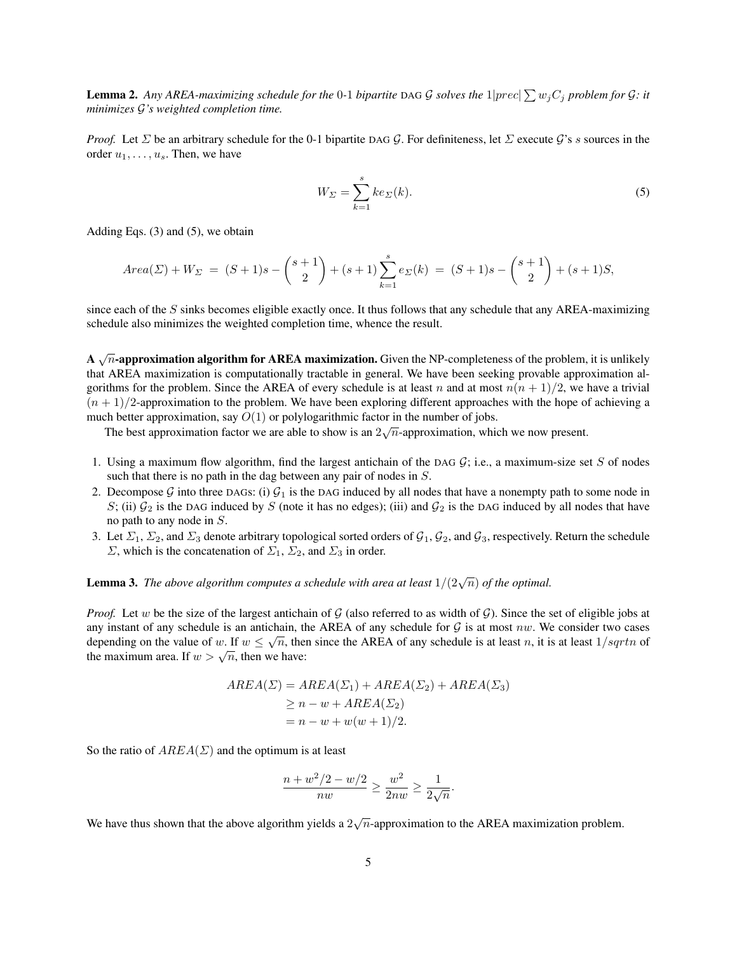Lemma 2. Any AREA-maximizing schedule for the 0-1 bipartite DAG  $G$  solves the  $1|prec| \sum w_j C_j$  problem for  $G$ : it *minimizes* G*'s weighted completion time.*

*Proof.* Let  $\Sigma$  be an arbitrary schedule for the 0-1 bipartite DAG G. For definiteness, let  $\Sigma$  execute G's s sources in the order  $u_1, \ldots, u_s$ . Then, we have

$$
W_{\Sigma} = \sum_{k=1}^{s} ke_{\Sigma}(k). \tag{5}
$$

Adding Eqs. (3) and (5), we obtain

$$
Area(\Sigma) + W_{\Sigma} = (S+1)s - {s+1 \choose 2} + (s+1)\sum_{k=1}^{s} e_{\Sigma}(k) = (S+1)s - {s+1 \choose 2} + (s+1)S,
$$

since each of the S sinks becomes eligible exactly once. It thus follows that any schedule that any AREA-maximizing schedule also minimizes the weighted completion time, whence the result.

A  $\sqrt{n}$ -approximation algorithm for AREA maximization. Given the NP-completeness of the problem, it is unlikely that AREA maximization is computationally tractable in general. We have been seeking provable approximation algorithms for the problem. Since the AREA of every schedule is at least n and at most  $n(n + 1)/2$ , we have a trivial  $(n + 1)/2$ -approximation to the problem. We have been exploring different approaches with the hope of achieving a much better approximation, say  $O(1)$  or polylogarithmic factor in the number of jobs.

The best approximation factor we are able to show is an  $2\sqrt{n}$ -approximation, which we now present.

- 1. Using a maximum flow algorithm, find the largest antichain of the DAG  $G$ ; i.e., a maximum-size set  $S$  of nodes such that there is no path in the dag between any pair of nodes in  $S$ .
- 2. Decompose G into three DAGs: (i)  $\mathcal{G}_1$  is the DAG induced by all nodes that have a nonempty path to some node in S; (ii)  $G_2$  is the DAG induced by S (note it has no edges); (iii) and  $G_2$  is the DAG induced by all nodes that have no path to any node in S.
- 3. Let  $\Sigma_1$ ,  $\Sigma_2$ , and  $\Sigma_3$  denote arbitrary topological sorted orders of  $\mathcal{G}_1$ ,  $\mathcal{G}_2$ , and  $\mathcal{G}_3$ , respectively. Return the schedule  $\Sigma$ , which is the concatenation of  $\Sigma_1$ ,  $\Sigma_2$ , and  $\Sigma_3$  in order.

# **Lemma 3.** The above algorithm computes a schedule with area at least  $1/(2\sqrt{n})$  of the optimal.

*Proof.* Let w be the size of the largest antichain of  $G$  (also referred to as width of  $G$ ). Since the set of eligible jobs at any instant of any schedule is an antichain, the AREA of any schedule for  $G$  is at most nw. We consider two cases depending on the value of w. If  $w \leq \sqrt{n}$ , then since the AREA of any schedule is at least n, it is at least  $1/sqrtn$  of depending on the value of w. If  $w \le \sqrt{n}$ , then we have:

$$
AREA(\Sigma) = AREA(\Sigma_1) + AREA(\Sigma_2) + AREA(\Sigma_3)
$$
  
\n
$$
\ge n - w + AREA(\Sigma_2)
$$
  
\n
$$
= n - w + w(w + 1)/2.
$$

So the ratio of  $AREA(\Sigma)$  and the optimum is at least

$$
\frac{n + w^2/2 - w/2}{nw} \ge \frac{w^2}{2nw} \ge \frac{1}{2\sqrt{n}}.
$$

We have thus shown that the above algorithm yields a  $2\sqrt{n}$ -approximation to the AREA maximization problem.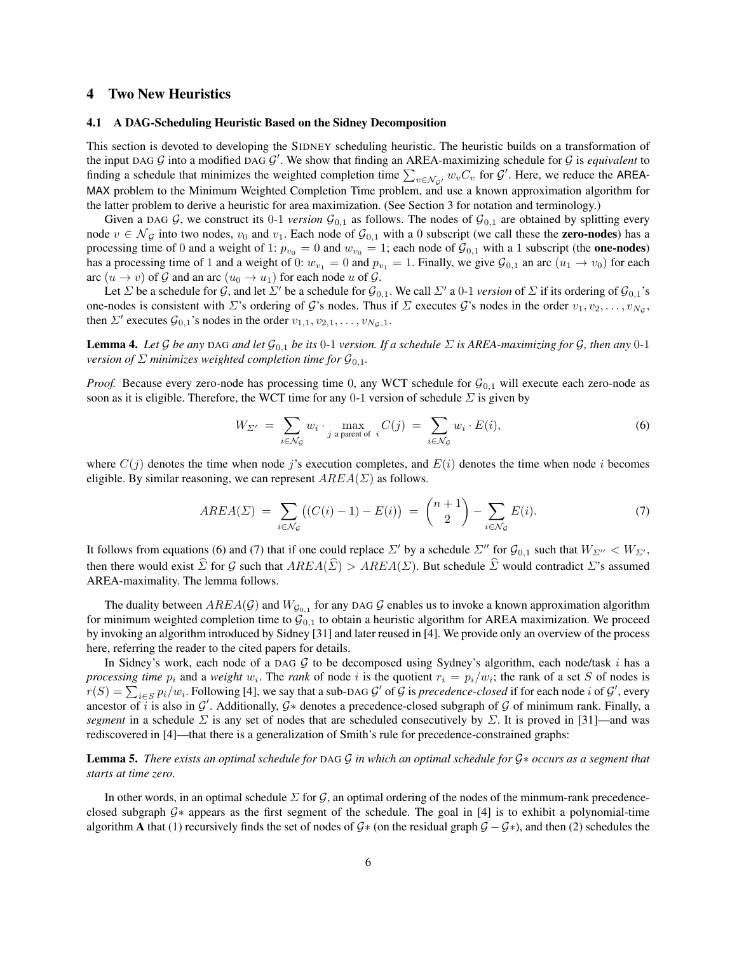## 4 Two New Heuristics

#### 4.1 A DAG-Scheduling Heuristic Based on the Sidney Decomposition

This section is devoted to developing the SIDNEY scheduling heuristic. The heuristic builds on a transformation of the input DAG  $G$  into a modified DAG  $G'$ . We show that finding an AREA-maximizing schedule for  $G$  is *equivalent* to finding a schedule that minimizes the weighted completion time  $\sum_{v \in \mathcal{N}_{\mathcal{G}'}} w_v C_v$  for  $\mathcal{G}'$ . Here, we reduce the AREA-MAX problem to the Minimum Weighted Completion Time problem, and use a known approximation algorithm for the latter problem to derive a heuristic for area maximization. (See Section 3 for notation and terminology.)

Given a DAG G, we construct its 0-1 *version*  $\mathcal{G}_{0,1}$  as follows. The nodes of  $\mathcal{G}_{0,1}$  are obtained by splitting every node  $v \in \mathcal{N}_{\mathcal{G}}$  into two nodes,  $v_0$  and  $v_1$ . Each node of  $\mathcal{G}_{0,1}$  with a 0 subscript (we call these the **zero-nodes**) has a processing time of 0 and a weight of 1:  $p_{v_0} = 0$  and  $w_{v_0} = 1$ ; each node of  $\mathcal{G}_{0,1}$  with a 1 subscript (the **one-nodes**) has a processing time of 1 and a weight of 0:  $w_{v_1} = 0$  and  $p_{v_1} = 1$ . Finally, we give  $\mathcal{G}_{0,1}$  an arc  $(u_1 \to v_0)$  for each arc  $(u \to v)$  of G and an arc  $(u_0 \to u_1)$  for each node u of G.

Let  $\Sigma$  be a schedule for  $\mathcal G$ , and let  $\Sigma'$  be a schedule for  $\mathcal G_{0,1}$ . We call  $\Sigma'$  a 0-1 *version* of  $\Sigma$  if its ordering of  $\mathcal G_{0,1}$ 's one-nodes is consistent with  $\Sigma$ 's ordering of G's nodes. Thus if  $\Sigma$  executes G's nodes in the order  $v_1, v_2, \ldots, v_{N_\mathcal{G}},$ then  $\Sigma'$  executes  $\mathcal{G}_{0,1}$ 's nodes in the order  $v_{1,1}, v_{2,1}, \ldots, v_{N_{\mathcal{G}},1}$ .

**Lemma 4.** Let G be any DAG and let  $\mathcal{G}_{0,1}$  be its 0-1 version. If a schedule  $\Sigma$  is AREA-maximizing for G, then any 0-1 *version of*  $\Sigma$  *minimizes weighted completion time for*  $\mathcal{G}_{0,1}$ *.* 

*Proof.* Because every zero-node has processing time 0, any WCT schedule for  $G_{0,1}$  will execute each zero-node as soon as it is eligible. Therefore, the WCT time for any 0-1 version of schedule  $\Sigma$  is given by

$$
W_{\Sigma'} = \sum_{i \in \mathcal{N}_{\mathcal{G}}} w_i \cdot \max_{j \text{ a parent of } i} C(j) = \sum_{i \in \mathcal{N}_{\mathcal{G}}} w_i \cdot E(i), \tag{6}
$$

where  $C(j)$  denotes the time when node j's execution completes, and  $E(i)$  denotes the time when node i becomes eligible. By similar reasoning, we can represent  $AREA(\Sigma)$  as follows.

$$
AREA(\Sigma) = \sum_{i \in \mathcal{N}_{\mathcal{G}}} \big( (C(i) - 1) - E(i) \big) = {n+1 \choose 2} - \sum_{i \in \mathcal{N}_{\mathcal{G}}} E(i). \tag{7}
$$

It follows from equations (6) and (7) that if one could replace  $\Sigma'$  by a schedule  $\Sigma''$  for  $\mathcal{G}_{0,1}$  such that  $W_{\Sigma''} < W_{\Sigma'}$ , then there would exist  $\hat{\Sigma}$  for G such that  $AREA(\hat{\Sigma}) > AREA(\Sigma)$ . But schedule  $\hat{\Sigma}$  would contradict  $\Sigma$ 's assumed AREA-maximality. The lemma follows.

The duality between  $AREA(\mathcal{G})$  and  $W_{\mathcal{G}_{0,1}}$  for any DAG  $\mathcal G$  enables us to invoke a known approximation algorithm for minimum weighted completion time to  $\mathcal{G}_{0,1}$  to obtain a heuristic algorithm for AREA maximization. We proceed by invoking an algorithm introduced by Sidney [31] and later reused in [4]. We provide only an overview of the process here, referring the reader to the cited papers for details.

In Sidney's work, each node of a DAG  $G$  to be decomposed using Sydney's algorithm, each node/task i has a *processing time*  $p_i$  and a *weight*  $w_i$ . The *rank* of node i is the quotient  $r_i = p_i/w_i$ ; the rank of a set S of nodes is  $r(S) = \sum_{i \in S} p_i/w_i$ . Following [4], we say that a sub-DAG  $\mathcal{G}'$  of  $\mathcal{G}$  is *precedence-closed* if for each node *i* of  $\mathcal{G}'$ , every ancestor of i is also in  $G'$ . Additionally,  $G*$  denotes a precedence-closed subgraph of G of minimum rank. Finally, a *segment* in a schedule  $\Sigma$  is any set of nodes that are scheduled consecutively by  $\Sigma$ . It is proved in [31]—and was rediscovered in [4]—that there is a generalization of Smith's rule for precedence-constrained graphs:

Lemma 5. *There exists an optimal schedule for* DAG G *in which an optimal schedule for* G∗ *occurs as a segment that starts at time zero.*

In other words, in an optimal schedule  $\Sigma$  for G, an optimal ordering of the nodes of the minmum-rank precedenceclosed subgraph G∗ appears as the first segment of the schedule. The goal in [4] is to exhibit a polynomial-time algorithm A that (1) recursively finds the set of nodes of  $G*$  (on the residual graph  $G - G*$ ), and then (2) schedules the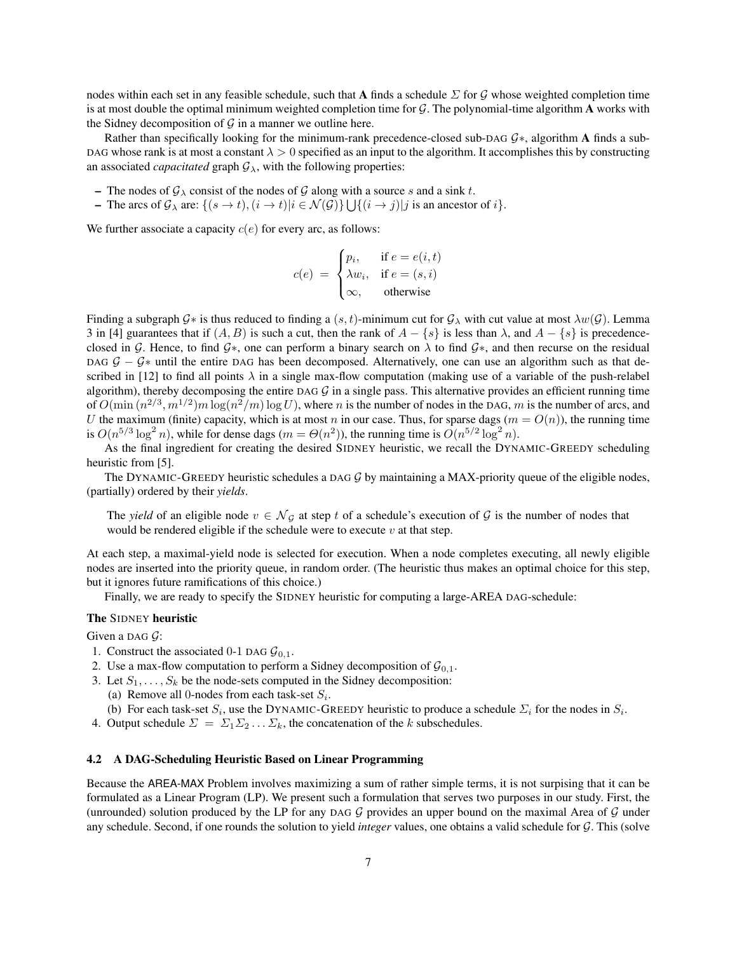nodes within each set in any feasible schedule, such that A finds a schedule  $\Sigma$  for G whose weighted completion time is at most double the optimal minimum weighted completion time for  $G$ . The polynomial-time algorithm A works with the Sidney decomposition of  $G$  in a manner we outline here.

Rather than specifically looking for the minimum-rank precedence-closed sub-DAG G∗, algorithm A finds a sub-DAG whose rank is at most a constant  $\lambda > 0$  specified as an input to the algorithm. It accomplishes this by constructing an associated *capacitated* graph  $\mathcal{G}_{\lambda}$ , with the following properties:

- The nodes of  $\mathcal{G}_{\lambda}$  consist of the nodes of  $\mathcal{G}$  along with a source s and a sink t.
- The arcs of  $\mathcal{G}_{\lambda}$  are:  $\{(s \to t), (i \to t)| i \in \mathcal{N}(\mathcal{G})\} \bigcup \{(i \to j)| j \text{ is an ancestor of } i\}.$

We further associate a capacity  $c(e)$  for every arc, as follows:

$$
c(e) = \begin{cases} p_i, & \text{if } e = e(i, t) \\ \lambda w_i, & \text{if } e = (s, i) \\ \infty, & \text{otherwise} \end{cases}
$$

Finding a subgraph  $G^*$  is thus reduced to finding a  $(s, t)$ -minimum cut for  $G_\lambda$  with cut value at most  $\lambda w(G)$ . Lemma 3 in [4] guarantees that if  $(A, B)$  is such a cut, then the rank of  $A - \{s\}$  is less than  $\lambda$ , and  $A - \{s\}$  is precedenceclosed in G. Hence, to find  $G<sup>*</sup>$ , one can perform a binary search on  $\lambda$  to find  $G<sup>*</sup>$ , and then recurse on the residual DAG  $G - G^*$  until the entire DAG has been decomposed. Alternatively, one can use an algorithm such as that described in [12] to find all points  $\lambda$  in a single max-flow computation (making use of a variable of the push-relabel algorithm), thereby decomposing the entire DAG  $G$  in a single pass. This alternative provides an efficient running time of  $O(\min(n^{2/3}, m^{1/2})m \log(n^2/m) \log U)$ , where n is the number of nodes in the DAG, m is the number of arcs, and U the maximum (finite) capacity, which is at most n in our case. Thus, for sparse dags ( $m = O(n)$ ), the running time is  $O(n^{5/3} \log^2 n)$ , while for dense dags  $(m = \Theta(n^2))$ , the running time is  $O(n^{5/2} \log^2 n)$ .

As the final ingredient for creating the desired SIDNEY heuristic, we recall the DYNAMIC-GREEDY scheduling heuristic from [5].

The DYNAMIC-GREEDY heuristic schedules a DAG  $\mathcal G$  by maintaining a MAX-priority queue of the eligible nodes, (partially) ordered by their *yields*.

The *yield* of an eligible node  $v \in \mathcal{N}_{\mathcal{G}}$  at step t of a schedule's execution of  $\mathcal{G}$  is the number of nodes that would be rendered eligible if the schedule were to execute  $v$  at that step.

At each step, a maximal-yield node is selected for execution. When a node completes executing, all newly eligible nodes are inserted into the priority queue, in random order. (The heuristic thus makes an optimal choice for this step, but it ignores future ramifications of this choice.)

Finally, we are ready to specify the SIDNEY heuristic for computing a large-AREA DAG-schedule:

### The SIDNEY heuristic

Given a DAG  $\mathcal{G}$ :

- 1. Construct the associated 0-1 DAG  $\mathcal{G}_{0,1}$ .
- 2. Use a max-flow computation to perform a Sidney decomposition of  $\mathcal{G}_{0,1}$ .
- 3. Let  $S_1, \ldots, S_k$  be the node-sets computed in the Sidney decomposition:
	- (a) Remove all 0-nodes from each task-set  $S_i$ .
	- (b) For each task-set  $S_i$ , use the DYNAMIC-GREEDY heuristic to produce a schedule  $\Sigma_i$  for the nodes in  $S_i$ .
- 4. Output schedule  $\Sigma = \Sigma_1 \Sigma_2 \dots \Sigma_k$ , the concatenation of the k subschedules.

# 4.2 A DAG-Scheduling Heuristic Based on Linear Programming

Because the AREA-MAX Problem involves maximizing a sum of rather simple terms, it is not surpising that it can be formulated as a Linear Program (LP). We present such a formulation that serves two purposes in our study. First, the (unrounded) solution produced by the LP for any DAG  $G$  provides an upper bound on the maximal Area of  $G$  under any schedule. Second, if one rounds the solution to yield *integer* values, one obtains a valid schedule for G. This (solve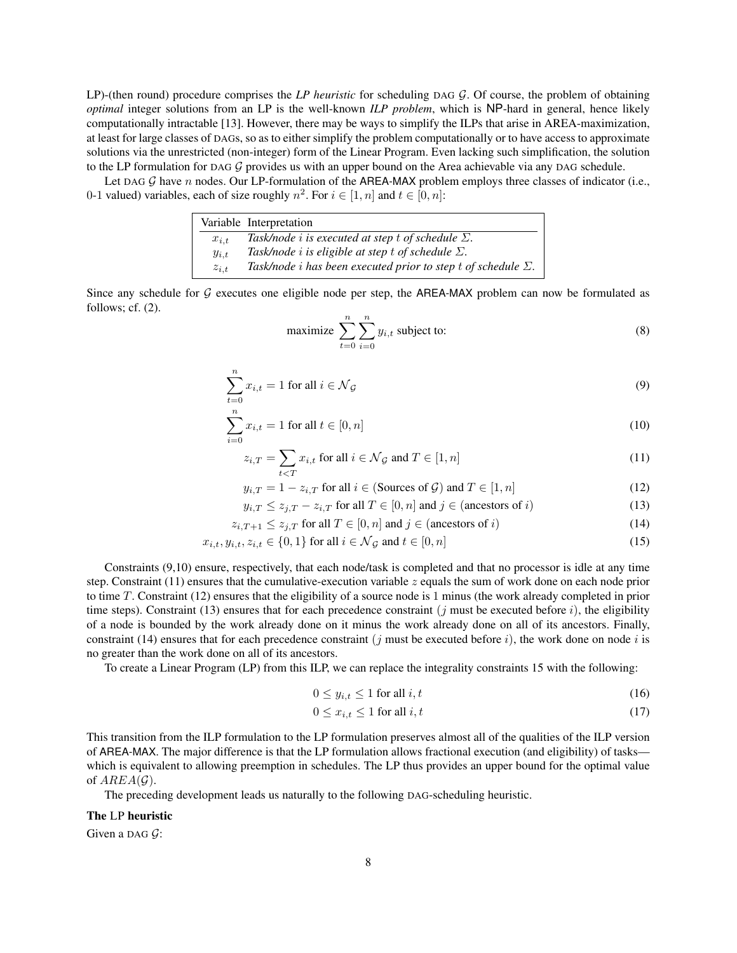LP)-(then round) procedure comprises the *LP heuristic* for scheduling DAG G. Of course, the problem of obtaining *optimal* integer solutions from an LP is the well-known *ILP problem*, which is NP-hard in general, hence likely computationally intractable [13]. However, there may be ways to simplify the ILPs that arise in AREA-maximization, at least for large classes of DAGs, so as to either simplify the problem computationally or to have access to approximate solutions via the unrestricted (non-integer) form of the Linear Program. Even lacking such simplification, the solution to the LP formulation for DAG  $G$  provides us with an upper bound on the Area achievable via any DAG schedule.

Let DAG  $G$  have n nodes. Our LP-formulation of the AREA-MAX problem employs three classes of indicator (i.e., 0-1 valued) variables, each of size roughly  $n^2$ . For  $i \in [1, n]$  and  $t \in [0, n]$ :

|            | Variable Interpretation                                                     |
|------------|-----------------------------------------------------------------------------|
| $x_{i.t.}$ | Task/node <i>i</i> is executed at step t of schedule $\Sigma$ .             |
| $y_{i,t}$  | Task/node <i>i</i> is eligible at step t of schedule $\Sigma$ .             |
| $z_{i,t}$  | Task/node <i>i</i> has been executed prior to step t of schedule $\Sigma$ . |

Since any schedule for  $G$  executes one eligible node per step, the AREA-MAX problem can now be formulated as follows; cf. (2).

 $\boldsymbol{n}$ 

maximize 
$$
\sum_{t=0}^{n} \sum_{i=0}^{n} y_{i,t}
$$
 subject to: (8)

$$
\sum_{t=0} x_{i,t} = 1 \text{ for all } i \in \mathcal{N}_{\mathcal{G}}
$$
 (9)

$$
\sum_{i=0}^{n} x_{i,t} = 1 \text{ for all } t \in [0, n] \tag{10}
$$

$$
z_{i,T} = \sum_{t \le T} x_{i,t} \text{ for all } i \in \mathcal{N}_{\mathcal{G}} \text{ and } T \in [1, n]
$$
 (11)

$$
y_{i,T} = 1 - z_{i,T} \text{ for all } i \in (\text{Sources of } \mathcal{G}) \text{ and } T \in [1, n] \tag{12}
$$

$$
y_{i,T} \le z_{j,T} - z_{i,T} \text{ for all } T \in [0,n] \text{ and } j \in (\text{ancestors of } i)
$$
 (13)

$$
z_{i,T+1} \le z_{j,T} \text{ for all } T \in [0,n] \text{ and } j \in (\text{ancestors of } i)
$$
 (14)

$$
x_{i,t}, y_{i,t}, z_{i,t} \in \{0, 1\} \text{ for all } i \in \mathcal{N}_{\mathcal{G}} \text{ and } t \in [0, n] \tag{15}
$$

Constraints (9,10) ensure, respectively, that each node/task is completed and that no processor is idle at any time step. Constraint (11) ensures that the cumulative-execution variable  $z$  equals the sum of work done on each node prior to time T. Constraint (12) ensures that the eligibility of a source node is 1 minus (the work already completed in prior time steps). Constraint (13) ensures that for each precedence constraint (*j* must be executed before *i*), the eligibility of a node is bounded by the work already done on it minus the work already done on all of its ancestors. Finally, constraint (14) ensures that for each precedence constraint (j must be executed before i), the work done on node i is no greater than the work done on all of its ancestors.

To create a Linear Program (LP) from this ILP, we can replace the integrality constraints 15 with the following:

$$
0 \le y_{i,t} \le 1 \text{ for all } i,t \tag{16}
$$

$$
0 \le x_{i,t} \le 1 \text{ for all } i,t \tag{17}
$$

This transition from the ILP formulation to the LP formulation preserves almost all of the qualities of the ILP version of AREA-MAX. The major difference is that the LP formulation allows fractional execution (and eligibility) of tasks which is equivalent to allowing preemption in schedules. The LP thus provides an upper bound for the optimal value of  $AREA(\mathcal{G})$ .

The preceding development leads us naturally to the following DAG-scheduling heuristic.

### The LP heuristic

Given a DAG  $\mathcal{G}$ :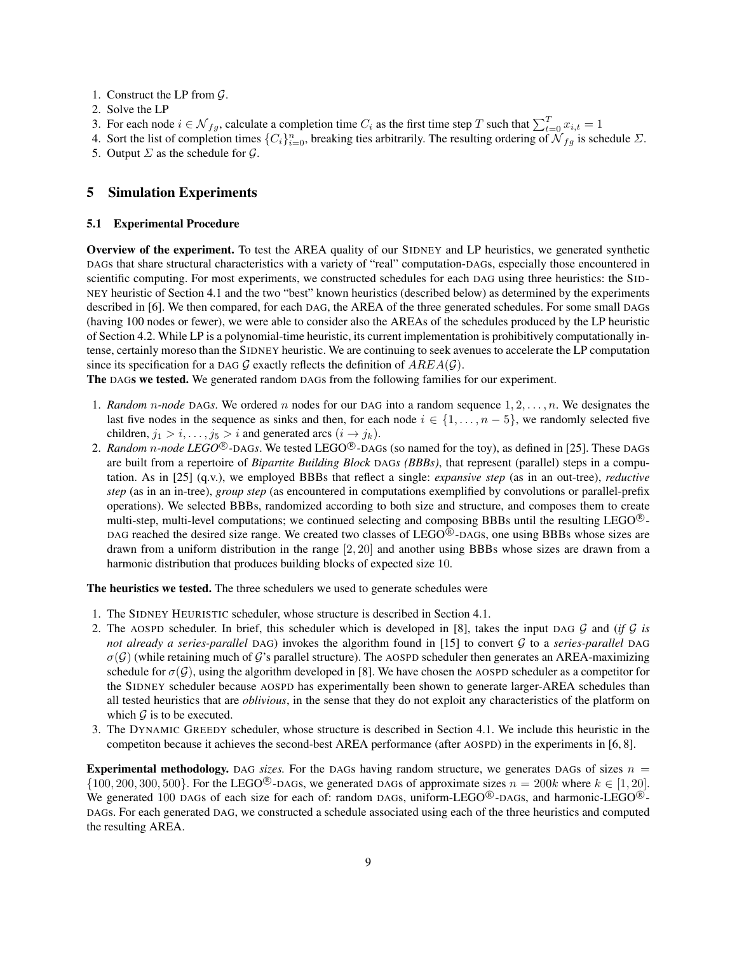- 1. Construct the LP from G.
- 2. Solve the LP
- 3. For each node  $i \in \mathcal{N}_{fg}$ , calculate a completion time  $C_i$  as the first time step T such that  $\sum_{t=0}^{T} x_{i,t} = 1$
- 4. Sort the list of completion times  $\{C_i\}_{i=0}^n$ , breaking ties arbitrarily. The resulting ordering of  $\mathcal{N}_{fg}$  is schedule  $\Sigma$ .
- 5. Output  $\Sigma$  as the schedule for  $\mathcal{G}$ .

## 5 Simulation Experiments

#### 5.1 Experimental Procedure

Overview of the experiment. To test the AREA quality of our SIDNEY and LP heuristics, we generated synthetic DAGs that share structural characteristics with a variety of "real" computation-DAGs, especially those encountered in scientific computing. For most experiments, we constructed schedules for each DAG using three heuristics: the SID-NEY heuristic of Section 4.1 and the two "best" known heuristics (described below) as determined by the experiments described in [6]. We then compared, for each DAG, the AREA of the three generated schedules. For some small DAGs (having 100 nodes or fewer), we were able to consider also the AREAs of the schedules produced by the LP heuristic of Section 4.2. While LP is a polynomial-time heuristic, its current implementation is prohibitively computationally intense, certainly moreso than the SIDNEY heuristic. We are continuing to seek avenues to accelerate the LP computation since its specification for a DAG G exactly reflects the definition of  $AREA(G)$ .

The DAGs we tested. We generated random DAGs from the following families for our experiment.

- 1. *Random* n*-node* DAG*s*. We ordered n nodes for our DAG into a random sequence 1, 2, . . . , n. We designates the last five nodes in the sequence as sinks and then, for each node  $i \in \{1, \ldots, n-5\}$ , we randomly selected five children,  $j_1 > i, \ldots, j_5 > i$  and generated arcs  $(i \rightarrow j_k)$ .
- 2. *Random n-node LEGO*<sup>®</sup>-DAG*s*. We tested LEGO<sup>®</sup>-DAGs (so named for the toy), as defined in [25]. These DAGs are built from a repertoire of *Bipartite Building Block* DAG*s (BBBs)*, that represent (parallel) steps in a computation. As in [25] (q.v.), we employed BBBs that reflect a single: *expansive step* (as in an out-tree), *reductive step* (as in an in-tree), *group step* (as encountered in computations exemplified by convolutions or parallel-prefix operations). We selected BBBs, randomized according to both size and structure, and composes them to create multi-step, multi-level computations; we continued selecting and composing BBBs until the resulting LEGO $^{\circledR}$ -DAG reached the desired size range. We created two classes of  $LEGO^{\circledR}$ -DAGs, one using BBBs whose sizes are drawn from a uniform distribution in the range [2, 20] and another using BBBs whose sizes are drawn from a harmonic distribution that produces building blocks of expected size 10.

The heuristics we tested. The three schedulers we used to generate schedules were

- 1. The SIDNEY HEURISTIC scheduler, whose structure is described in Section 4.1.
- 2. The AOSPD scheduler. In brief, this scheduler which is developed in [8], takes the input DAG G and (*if* G *is not already a series-parallel* DAG) invokes the algorithm found in [15] to convert G to a *series-parallel* DAG  $\sigma(G)$  (while retaining much of G's parallel structure). The AOSPD scheduler then generates an AREA-maximizing schedule for  $\sigma(G)$ , using the algorithm developed in [8]. We have chosen the AOSPD scheduler as a competitor for the SIDNEY scheduler because AOSPD has experimentally been shown to generate larger-AREA schedules than all tested heuristics that are *oblivious*, in the sense that they do not exploit any characteristics of the platform on which  $G$  is to be executed.
- 3. The DYNAMIC GREEDY scheduler, whose structure is described in Section 4.1. We include this heuristic in the competiton because it achieves the second-best AREA performance (after AOSPD) in the experiments in [6, 8].

**Experimental methodology.** DAG *sizes*. For the DAGs having random structure, we generates DAGs of sizes  $n =$  $\{100, 200, 300, 500\}$ . For the LEGO<sup>®</sup>-DAGs, we generated DAGs of approximate sizes  $n = 200k$  where  $k \in [1, 20]$ . We generated 100 DAGs of each size for each of: random DAGs, uniform-LEGO $^{\circledR}$ -DAGs, and harmonic-LEGO $^{\circledR}$ -DAGs. For each generated DAG, we constructed a schedule associated using each of the three heuristics and computed the resulting AREA.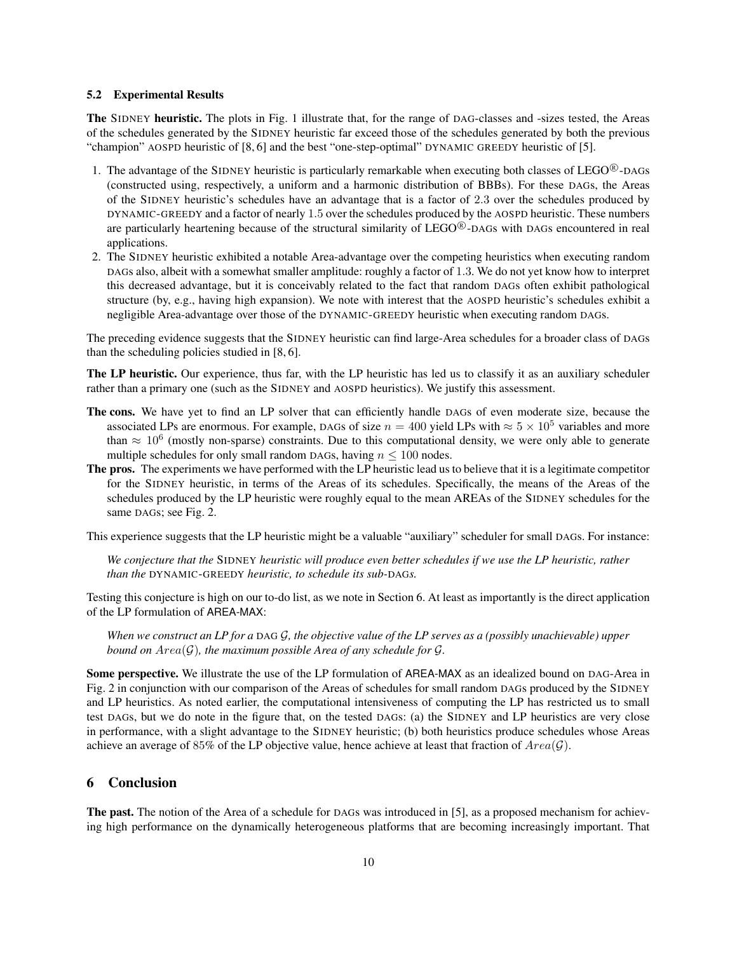#### 5.2 Experimental Results

The SIDNEY heuristic. The plots in Fig. 1 illustrate that, for the range of DAG-classes and -sizes tested, the Areas of the schedules generated by the SIDNEY heuristic far exceed those of the schedules generated by both the previous "champion" AOSPD heuristic of [8, 6] and the best "one-step-optimal" DYNAMIC GREEDY heuristic of [5].

- 1. The advantage of the SIDNEY heuristic is particularly remarkable when executing both classes of LEGO $^{\circledR}$ -DAGs (constructed using, respectively, a uniform and a harmonic distribution of BBBs). For these DAGs, the Areas of the SIDNEY heuristic's schedules have an advantage that is a factor of 2.3 over the schedules produced by DYNAMIC-GREEDY and a factor of nearly 1.5 over the schedules produced by the AOSPD heuristic. These numbers are particularly heartening because of the structural similarity of LEGO $^{\circledR}$ -DAGs with DAGs encountered in real applications.
- 2. The SIDNEY heuristic exhibited a notable Area-advantage over the competing heuristics when executing random DAGs also, albeit with a somewhat smaller amplitude: roughly a factor of 1.3. We do not yet know how to interpret this decreased advantage, but it is conceivably related to the fact that random DAGs often exhibit pathological structure (by, e.g., having high expansion). We note with interest that the AOSPD heuristic's schedules exhibit a negligible Area-advantage over those of the DYNAMIC-GREEDY heuristic when executing random DAGs.

The preceding evidence suggests that the SIDNEY heuristic can find large-Area schedules for a broader class of DAGs than the scheduling policies studied in [8, 6].

The LP heuristic. Our experience, thus far, with the LP heuristic has led us to classify it as an auxiliary scheduler rather than a primary one (such as the SIDNEY and AOSPD heuristics). We justify this assessment.

- The cons. We have yet to find an LP solver that can efficiently handle DAGs of even moderate size, because the associated LPs are enormous. For example, DAGs of size  $n = 400$  yield LPs with  $\approx 5 \times 10^5$  variables and more than  $\approx 10^6$  (mostly non-sparse) constraints. Due to this computational density, we were only able to generate multiple schedules for only small random DAGs, having  $n \leq 100$  nodes.
- The pros. The experiments we have performed with the LP heuristic lead us to believe that it is a legitimate competitor for the SIDNEY heuristic, in terms of the Areas of its schedules. Specifically, the means of the Areas of the schedules produced by the LP heuristic were roughly equal to the mean AREAs of the SIDNEY schedules for the same DAGs; see Fig. 2.

This experience suggests that the LP heuristic might be a valuable "auxiliary" scheduler for small DAGs. For instance:

*We conjecture that the* SIDNEY *heuristic will produce even better schedules if we use the LP heuristic, rather than the* DYNAMIC-GREEDY *heuristic, to schedule its sub-*DAG*s.*

Testing this conjecture is high on our to-do list, as we note in Section 6. At least as importantly is the direct application of the LP formulation of AREA-MAX:

*When we construct an LP for a* DAG G*, the objective value of the LP serves as a (possibly unachievable) upper bound on*  $Area(\mathcal{G})$ *, the maximum possible Area of any schedule for*  $\mathcal{G}$ *.* 

Some perspective. We illustrate the use of the LP formulation of AREA-MAX as an idealized bound on DAG-Area in Fig. 2 in conjunction with our comparison of the Areas of schedules for small random DAGs produced by the SIDNEY and LP heuristics. As noted earlier, the computational intensiveness of computing the LP has restricted us to small test DAGs, but we do note in the figure that, on the tested DAGs: (a) the SIDNEY and LP heuristics are very close in performance, with a slight advantage to the SIDNEY heuristic; (b) both heuristics produce schedules whose Areas achieve an average of 85% of the LP objective value, hence achieve at least that fraction of  $Area(\mathcal{G})$ .

## 6 Conclusion

The past. The notion of the Area of a schedule for DAGs was introduced in [5], as a proposed mechanism for achieving high performance on the dynamically heterogeneous platforms that are becoming increasingly important. That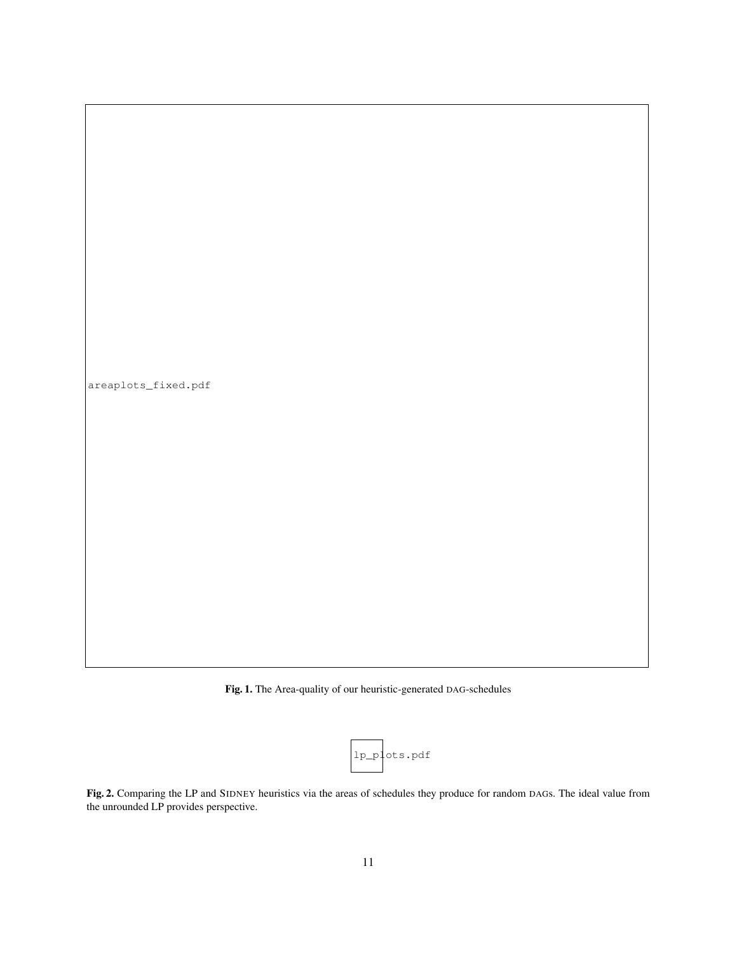



|  | lp_plots.pdf |
|--|--------------|
|--|--------------|

Fig. 2. Comparing the LP and SIDNEY heuristics via the areas of schedules they produce for random DAGs. The ideal value from the unrounded LP provides perspective.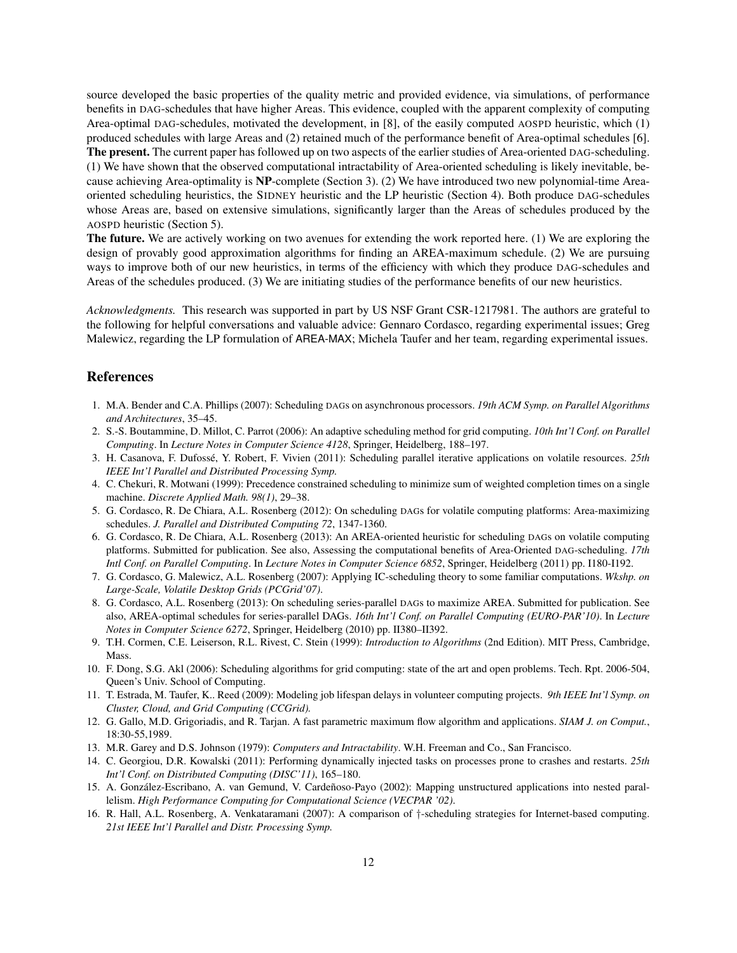source developed the basic properties of the quality metric and provided evidence, via simulations, of performance benefits in DAG-schedules that have higher Areas. This evidence, coupled with the apparent complexity of computing Area-optimal DAG-schedules, motivated the development, in [8], of the easily computed AOSPD heuristic, which (1) produced schedules with large Areas and (2) retained much of the performance benefit of Area-optimal schedules [6]. The present. The current paper has followed up on two aspects of the earlier studies of Area-oriented DAG-scheduling. (1) We have shown that the observed computational intractability of Area-oriented scheduling is likely inevitable, because achieving Area-optimality is NP-complete (Section 3). (2) We have introduced two new polynomial-time Areaoriented scheduling heuristics, the SIDNEY heuristic and the LP heuristic (Section 4). Both produce DAG-schedules whose Areas are, based on extensive simulations, significantly larger than the Areas of schedules produced by the AOSPD heuristic (Section 5).

The future. We are actively working on two avenues for extending the work reported here. (1) We are exploring the design of provably good approximation algorithms for finding an AREA-maximum schedule. (2) We are pursuing ways to improve both of our new heuristics, in terms of the efficiency with which they produce DAG-schedules and Areas of the schedules produced. (3) We are initiating studies of the performance benefits of our new heuristics.

*Acknowledgments.* This research was supported in part by US NSF Grant CSR-1217981. The authors are grateful to the following for helpful conversations and valuable advice: Gennaro Cordasco, regarding experimental issues; Greg Malewicz, regarding the LP formulation of AREA-MAX; Michela Taufer and her team, regarding experimental issues.

## References

- 1. M.A. Bender and C.A. Phillips (2007): Scheduling DAGs on asynchronous processors. *19th ACM Symp. on Parallel Algorithms and Architectures*, 35–45.
- 2. S.-S. Boutammine, D. Millot, C. Parrot (2006): An adaptive scheduling method for grid computing. *10th Int'l Conf. on Parallel Computing*. In *Lecture Notes in Computer Science 4128*, Springer, Heidelberg, 188–197.
- 3. H. Casanova, F. Dufossé, Y. Robert, F. Vivien (2011): Scheduling parallel iterative applications on volatile resources. 25th *IEEE Int'l Parallel and Distributed Processing Symp.*
- 4. C. Chekuri, R. Motwani (1999): Precedence constrained scheduling to minimize sum of weighted completion times on a single machine. *Discrete Applied Math. 98(1)*, 29–38.
- 5. G. Cordasco, R. De Chiara, A.L. Rosenberg (2012): On scheduling DAGs for volatile computing platforms: Area-maximizing schedules. *J. Parallel and Distributed Computing 72*, 1347-1360.
- 6. G. Cordasco, R. De Chiara, A.L. Rosenberg (2013): An AREA-oriented heuristic for scheduling DAGs on volatile computing platforms. Submitted for publication. See also, Assessing the computational benefits of Area-Oriented DAG-scheduling. *17th Intl Conf. on Parallel Computing*. In *Lecture Notes in Computer Science 6852*, Springer, Heidelberg (2011) pp. I180-I192.
- 7. G. Cordasco, G. Malewicz, A.L. Rosenberg (2007): Applying IC-scheduling theory to some familiar computations. *Wkshp. on Large-Scale, Volatile Desktop Grids (PCGrid'07)*.
- 8. G. Cordasco, A.L. Rosenberg (2013): On scheduling series-parallel DAGs to maximize AREA. Submitted for publication. See also, AREA-optimal schedules for series-parallel DAGs. *16th Int'l Conf. on Parallel Computing (EURO-PAR'10)*. In *Lecture Notes in Computer Science 6272*, Springer, Heidelberg (2010) pp. II380–II392.
- 9. T.H. Cormen, C.E. Leiserson, R.L. Rivest, C. Stein (1999): *Introduction to Algorithms* (2nd Edition). MIT Press, Cambridge, Mass.
- 10. F. Dong, S.G. Akl (2006): Scheduling algorithms for grid computing: state of the art and open problems. Tech. Rpt. 2006-504, Queen's Univ. School of Computing.
- 11. T. Estrada, M. Taufer, K.. Reed (2009): Modeling job lifespan delays in volunteer computing projects. *9th IEEE Int'l Symp. on Cluster, Cloud, and Grid Computing (CCGrid).*
- 12. G. Gallo, M.D. Grigoriadis, and R. Tarjan. A fast parametric maximum flow algorithm and applications. *SIAM J. on Comput.*, 18:30-55,1989.
- 13. M.R. Garey and D.S. Johnson (1979): *Computers and Intractability*. W.H. Freeman and Co., San Francisco.
- 14. C. Georgiou, D.R. Kowalski (2011): Performing dynamically injected tasks on processes prone to crashes and restarts. *25th Int'l Conf. on Distributed Computing (DISC'11)*, 165–180.
- 15. A. González-Escribano, A. van Gemund, V. Cardeñoso-Payo (2002): Mapping unstructured applications into nested parallelism. *High Performance Computing for Computational Science (VECPAR '02)*.
- 16. R. Hall, A.L. Rosenberg, A. Venkataramani (2007): A comparison of †-scheduling strategies for Internet-based computing. *21st IEEE Int'l Parallel and Distr. Processing Symp.*